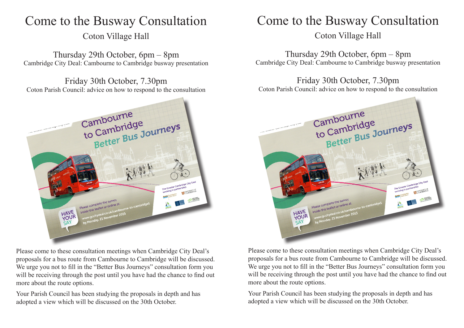## Come to the Busway Consultation

Coton Village Hall

Thursday 29th October, 6pm – 8pm Cambridge City Deal: Cambourne to Cambridge busway presentation

Friday 30th October, 7.30pm Coton Parish Council: advice on how to respond to the consultation



Please come to these consultation meetings when Cambridge City Deal's proposals for a bus route from Cambourne to Cambridge will be discussed. We urge you not to fill in the "Better Bus Journeys" consultation form you will be receiving through the post until you have had the chance to find out more about the route options.

Your Parish Council has been studying the proposals in depth and has adopted a view which will be discussed on the 30th October.

# Come to the Busway Consultation

Coton Village Hall

Thursday 29th October, 6pm – 8pm Cambridge City Deal: Cambourne to Cambridge busway presentation

Friday 30th October, 7.30pm Coton Parish Council: advice on how to respond to the consultation



Please come to these consultation meetings when Cambridge City Deal's proposals for a bus route from Cambourne to Cambridge will be discussed. We urge you not to fill in the "Better Bus Journeys" consultation form you will be receiving through the post until you have had the chance to find out more about the route options.

Your Parish Council has been studying the proposals in depth and has adopted a view which will be discussed on the 30th October.